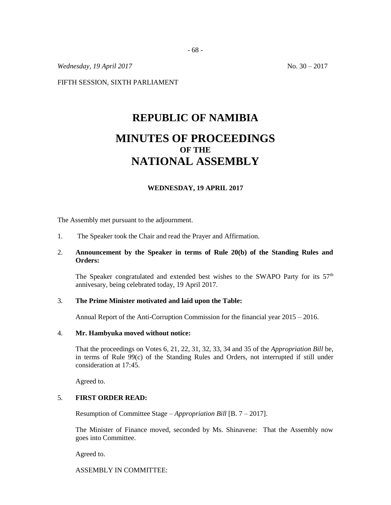*Wednesday,* 19 *April* 2017 12:00 12:00 12:00 12:00 No. 30 – 2017

FIFTH SESSION, SIXTH PARLIAMENT

# **REPUBLIC OF NAMIBIA MINUTES OF PROCEEDINGS OF THE NATIONAL ASSEMBLY**

# **WEDNESDAY, 19 APRIL 2017**

The Assembly met pursuant to the adjournment.

1. The Speaker took the Chair and read the Prayer and Affirmation.

# 2. **Announcement by the Speaker in terms of Rule 20(b) of the Standing Rules and Orders:**

The Speaker congratulated and extended best wishes to the SWAPO Party for its  $57<sup>th</sup>$ annivesary, being celebrated today, 19 April 2017.

### 3. **The Prime Minister motivated and laid upon the Table:**

Annual Report of the Anti-Corruption Commission for the financial year 2015 – 2016.

## 4. **Mr. Hambyuka moved without notice:**

That the proceedings on Votes 6, 21, 22, 31, 32, 33, 34 and 35 of the *Appropriation Bill* be, in terms of Rule 99(c) of the Standing Rules and Orders, not interrupted if still under consideration at 17:45.

Agreed to.

## 5. **FIRST ORDER READ:**

Resumption of Committee Stage – *Appropriation Bill* [B. 7 – 2017].

The Minister of Finance moved, seconded by Ms. Shinavene: That the Assembly now goes into Committee.

Agreed to.

ASSEMBLY IN COMMITTEE: